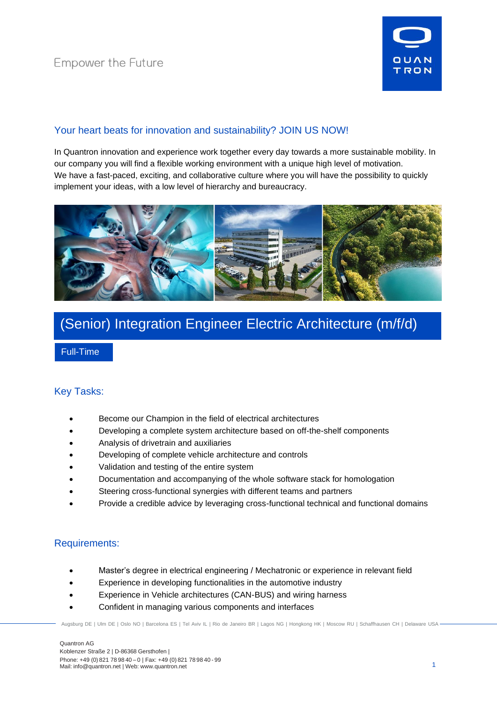

## Your heart beats for innovation and sustainability? JOIN US NOW!

In Quantron innovation and experience work together every day towards a more sustainable mobility. In our company you will find a flexible working environment with a unique high level of motivation. We have a fast-paced, exciting, and collaborative culture where you will have the possibility to quickly implement your ideas, with a low level of hierarchy and bureaucracy.



# (Senior) Integration Engineer Electric Architecture (m/f/d)

Full-Time

## Key Tasks:

- Become our Champion in the field of electrical architectures
- Developing a complete system architecture based on off-the-shelf components
- Analysis of drivetrain and auxiliaries
- Developing of complete vehicle architecture and controls
- Validation and testing of the entire system
- Documentation and accompanying of the whole software stack for homologation
- Steering cross-functional synergies with different teams and partners
- Provide a credible advice by leveraging cross-functional technical and functional domains

## Requirements:

- Master's degree in electrical engineering / Mechatronic or experience in relevant field
- Experience in developing functionalities in the automotive industry
- Experience in Vehicle architectures (CAN-BUS) and wiring harness
- Confident in managing various components and interfaces

Augsburg DE | Ulm DE | Oslo NO | Barcelona ES | Tel Aviv IL | Rio de Janeiro BR | Lagos NG | Hongkong HK | Moscow RU | Schaffhausen CH | Delaware USA